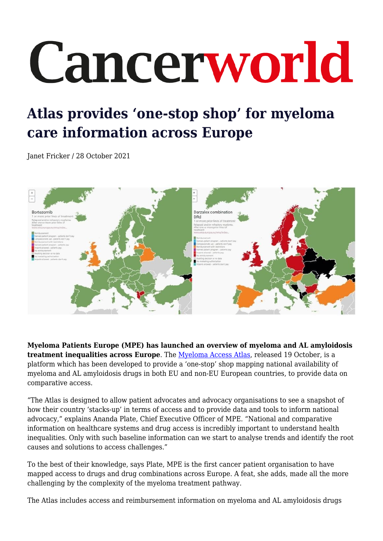## Cancerworld

## **Atlas provides 'one-stop shop' for myeloma care information across Europe**

Janet Fricker / 28 October 2021



**Myeloma Patients Europe (MPE) has launched an overview of myeloma and AL amyloidosis treatment inequalities across Europe**. The [Myeloma Access Atlas](https://atlas.mpeurope.org/), released 19 October, is a platform which has been developed to provide a 'one-stop' shop mapping national availability of myeloma and AL amyloidosis drugs in both EU and non-EU European countries, to provide data on comparative access.

"The Atlas is designed to allow patient advocates and advocacy organisations to see a snapshot of how their country 'stacks-up' in terms of access and to provide data and tools to inform national advocacy," explains Ananda Plate, Chief Executive Officer of MPE. "National and comparative information on healthcare systems and drug access is incredibly important to understand health inequalities. Only with such baseline information can we start to analyse trends and identify the root causes and solutions to access challenges."

To the best of their knowledge, says Plate, MPE is the first cancer patient organisation to have mapped access to drugs and drug combinations across Europe. A feat, she adds, made all the more challenging by the complexity of the myeloma treatment pathway.

The Atlas includes access and reimbursement information on myeloma and AL amyloidosis drugs